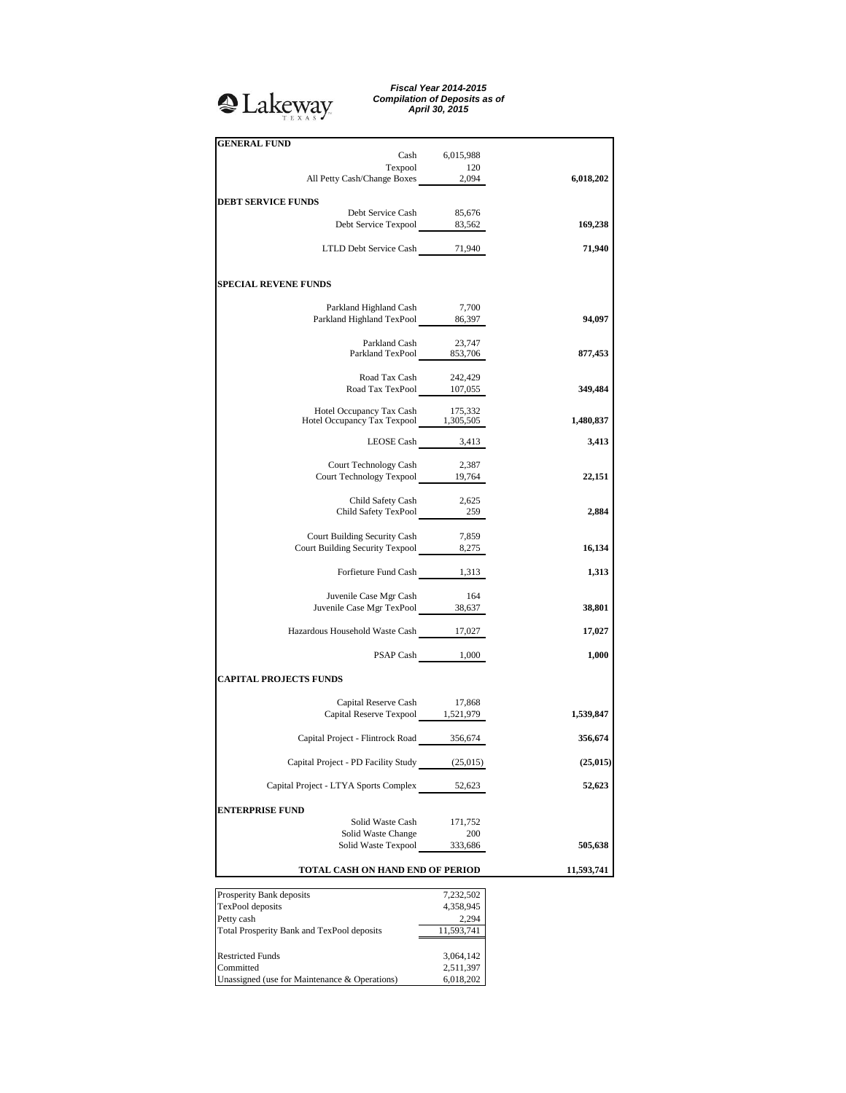# <sup>2</sup>Lakeway

*Fiscal Year 2014-2015 Compilation of Deposits as of April 30, 2015*

| <b>GENERAL FUND</b>                                                       |                    |            |
|---------------------------------------------------------------------------|--------------------|------------|
|                                                                           | Cash 6,015,988     |            |
| Texpool                                                                   | 120                |            |
| All Petty Cash/Change Boxes 2,094                                         |                    | 6,018,202  |
| <b>DEBT SERVICE FUNDS</b>                                                 |                    |            |
| Debt Service Cash                                                         | 85,676             |            |
| Debt Service Texpool 83,562                                               |                    | 169,238    |
|                                                                           |                    |            |
| LTLD Debt Service Cash 71,940                                             |                    | 71,940     |
|                                                                           |                    |            |
| <b>SPECIAL REVENE FUNDS</b>                                               |                    |            |
|                                                                           |                    |            |
| Parkland Highland Cash                                                    | 7,700              |            |
| Parkland Highland TexPool 86,397                                          |                    | 94,097     |
|                                                                           |                    |            |
| Parkland Cash 23,747<br>Parkland TexPool 853,706                          |                    | 877,453    |
|                                                                           |                    |            |
| Road Tax Cash 242,429                                                     |                    |            |
| Road Tax TexPool 107,055                                                  |                    | 349,484    |
| Hotel Occupancy Tax Cash 175,332<br>Hotel Occupancy Tax Texpool 1,305,505 |                    |            |
|                                                                           |                    | 1,480,837  |
|                                                                           | LEOSE Cash $3,413$ | 3,413      |
|                                                                           |                    |            |
| Court Technology Cash                                                     | 2,387              |            |
| Court Technology Texpool 19,764                                           |                    | 22,151     |
|                                                                           |                    |            |
| Child Safety Cash 2,625<br>Child Safety TexPool 259                       |                    | 2,884      |
|                                                                           |                    |            |
| Court Building Security Cash                                              | 7,859              |            |
| Court Building Security Texpool 8,275                                     |                    | 16,134     |
| Forfieture Fund Cash 1,313                                                |                    | 1,313      |
|                                                                           |                    |            |
| Juvenile Case Mgr Cash                                                    | 164                |            |
| Juvenile Case Mgr TexPool 38,637                                          |                    | 38,801     |
|                                                                           |                    |            |
| Hazardous Household Waste Cash 17,027                                     |                    | 17,027     |
|                                                                           | PSAP Cash 1,000    | 1,000      |
|                                                                           |                    |            |
| <b>CAPITAL PROJECTS FUNDS</b>                                             |                    |            |
|                                                                           |                    |            |
| Capital Reserve Cash<br>Capital Reserve Texpool 1,521,979                 | 17,868             | 1,539,847  |
|                                                                           |                    |            |
| Capital Project - Flintrock Road 356,674                                  |                    | 356,674    |
|                                                                           |                    |            |
| Capital Project - PD Facility Study                                       | (25,015)           | (25, 015)  |
| Capital Project - LTYA Sports Complex                                     | 52,623             | 52,623     |
|                                                                           |                    |            |
| <b>ENTERPRISE FUND</b>                                                    |                    |            |
| Solid Waste Cash                                                          | 171,752            |            |
| Solid Waste Change                                                        | 200                |            |
| Solid Waste Texpool                                                       | 333,686            | 505,638    |
| TOTAL CASH ON HAND END OF PERIOD                                          |                    | 11,593,741 |
|                                                                           |                    |            |
| Prosperity Bank deposits                                                  | 7,232,502          |            |
| TexPool deposits                                                          | 4,358,945          |            |
| Petty cash                                                                | 2,294              |            |
| Total Prosperity Bank and TexPool deposits                                | 11,593,741         |            |
| <b>Restricted Funds</b>                                                   | 3,064,142          |            |
| Committed                                                                 | 2,511,397          |            |
| Unassigned (use for Maintenance & Operations)                             | 6,018,202          |            |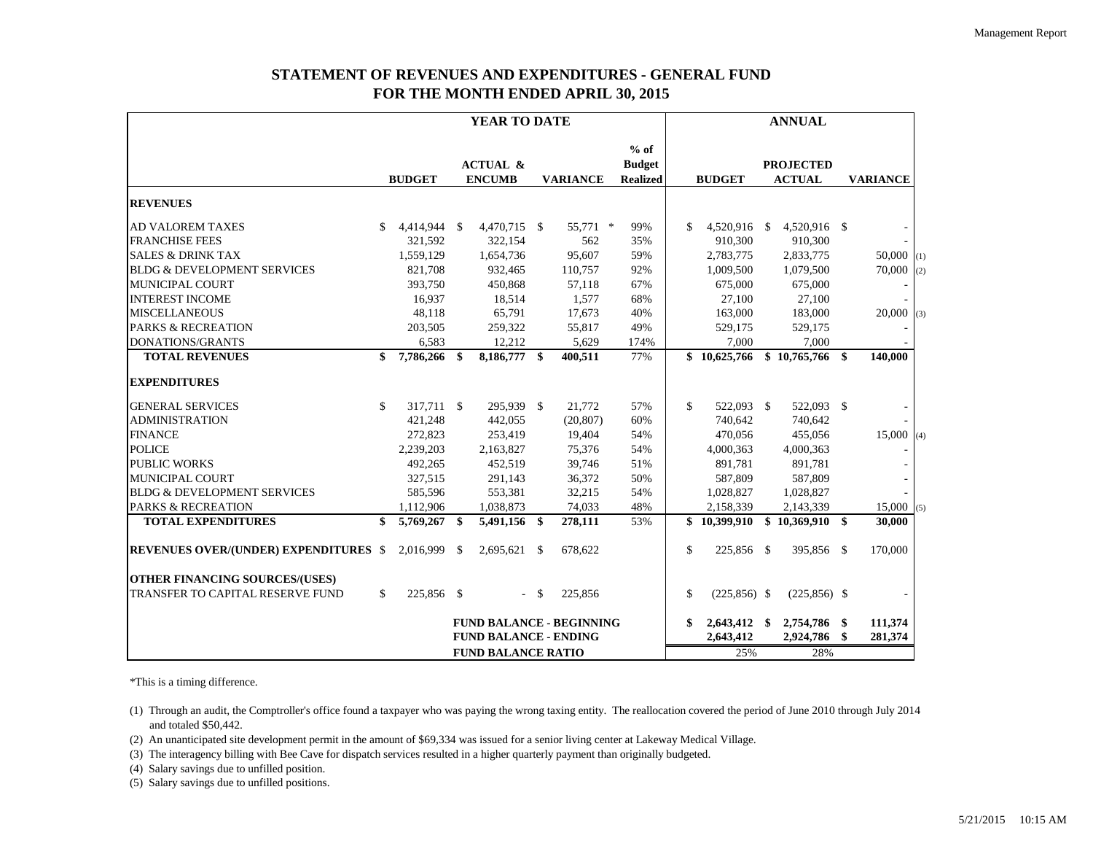# **STATEMENT OF REVENUES AND EXPENDITURES - GENERAL FUND FOR THE MONTH ENDED APRIL 30, 2015**

|                                              | YEAR TO DATE              |               |      |                                      |               |                                 | <b>ANNUAL</b> |                                            |               |                 |  |                                   |    |                 |     |
|----------------------------------------------|---------------------------|---------------|------|--------------------------------------|---------------|---------------------------------|---------------|--------------------------------------------|---------------|-----------------|--|-----------------------------------|----|-----------------|-----|
|                                              |                           | <b>BUDGET</b> |      | <b>ACTUAL &amp;</b><br><b>ENCUMB</b> |               | <b>VARIANCE</b>                 |               | $%$ of<br><b>Budget</b><br><b>Realized</b> |               | <b>BUDGET</b>   |  | <b>PROJECTED</b><br><b>ACTUAL</b> |    | <b>VARIANCE</b> |     |
| <b>REVENUES</b>                              |                           |               |      |                                      |               |                                 |               |                                            |               |                 |  |                                   |    |                 |     |
| <b>AD VALOREM TAXES</b>                      | \$.                       | 4,414,944 \$  |      | 4,470,715 \$                         |               | 55,771 *                        |               | 99%                                        | \$.           | 4,520,916 \$    |  | 4,520,916 \$                      |    |                 |     |
| <b>FRANCHISE FEES</b>                        |                           | 321,592       |      | 322,154                              |               | 562                             |               | 35%                                        |               | 910,300         |  | 910,300                           |    |                 |     |
| <b>SALES &amp; DRINK TAX</b>                 |                           | 1,559,129     |      | 1,654,736                            |               | 95,607                          |               | 59%                                        |               | 2,783,775       |  | 2,833,775                         |    | $50,000$ (1)    |     |
| <b>BLDG &amp; DEVELOPMENT SERVICES</b>       |                           | 821,708       |      | 932,465                              |               | 110,757                         |               | 92%                                        |               | 1,009,500       |  | 1,079,500                         |    | 70,000          | (2) |
| <b>MUNICIPAL COURT</b>                       |                           | 393,750       |      | 450,868                              |               | 57,118                          |               | 67%                                        |               | 675,000         |  | 675,000                           |    |                 |     |
| <b>INTEREST INCOME</b>                       |                           | 16,937        |      | 18,514                               |               | 1,577                           |               | 68%                                        |               | 27,100          |  | 27,100                            |    |                 |     |
| <b>MISCELLANEOUS</b>                         |                           | 48,118        |      | 65,791                               |               | 17,673                          |               | 40%                                        |               | 163,000         |  | 183,000                           |    | $20,000$ (3)    |     |
| <b>PARKS &amp; RECREATION</b>                |                           | 203,505       |      | 259,322                              |               | 55,817                          |               | 49%                                        |               | 529,175         |  | 529,175                           |    |                 |     |
| <b>DONATIONS/GRANTS</b>                      |                           | 6,583         |      | 12,212                               |               | 5,629                           |               | 174%                                       |               | 7.000           |  | 7.000                             |    |                 |     |
| <b>TOTAL REVENUES</b>                        | \$                        | 7,786,266     | \$   | 8,186,777 \$                         |               | 400,511                         |               | 77%                                        |               | \$10,625,766    |  | \$10,765,766                      | \$ | 140,000         |     |
| <b>EXPENDITURES</b>                          |                           |               |      |                                      |               |                                 |               |                                            |               |                 |  |                                   |    |                 |     |
| <b>GENERAL SERVICES</b>                      | \$                        | 317,711 \$    |      | 295,939 \$                           |               | 21,772                          |               | 57%                                        | <sup>\$</sup> | 522,093 \$      |  | 522,093 \$                        |    |                 |     |
| <b>ADMINISTRATION</b>                        |                           | 421,248       |      | 442,055                              |               | (20, 807)                       |               | 60%                                        |               | 740,642         |  | 740,642                           |    |                 |     |
| <b>FINANCE</b>                               |                           | 272,823       |      | 253,419                              |               | 19,404                          |               | 54%                                        |               | 470,056         |  | 455,056                           |    | $15,000$ (4)    |     |
| <b>POLICE</b>                                |                           | 2,239,203     |      | 2,163,827                            |               | 75,376                          |               | 54%                                        |               | 4,000,363       |  | 4,000,363                         |    |                 |     |
| <b>PUBLIC WORKS</b>                          |                           | 492,265       |      | 452,519                              |               | 39,746                          |               | 51%                                        |               | 891,781         |  | 891,781                           |    |                 |     |
| <b>MUNICIPAL COURT</b>                       |                           | 327,515       |      | 291,143                              |               | 36,372                          |               | 50%                                        |               | 587,809         |  | 587,809                           |    |                 |     |
| <b>BLDG &amp; DEVELOPMENT SERVICES</b>       |                           | 585,596       |      | 553,381                              |               | 32,215                          |               | 54%                                        |               | 1.028.827       |  | 1,028,827                         |    |                 |     |
| <b>PARKS &amp; RECREATION</b>                |                           | 1,112,906     |      | 1,038,873                            |               | 74,033                          |               | 48%                                        |               | 2,158,339       |  | 2,143,339                         |    | 15,000(5)       |     |
| <b>TOTAL EXPENDITURES</b>                    | \$                        | 5,769,267     | \$   | 5,491,156 \$                         |               | 278,111                         |               | 53%                                        |               | \$10,399,910    |  | \$10,369,910                      | \$ | 30,000          |     |
| <b>REVENUES OVER/(UNDER) EXPENDITURES \$</b> |                           | 2,016,999     | - \$ | 2,695,621 \$                         |               | 678,622                         |               |                                            | \$            | 225,856 \$      |  | 395,856 \$                        |    | 170,000         |     |
| <b>OTHER FINANCING SOURCES/(USES)</b>        |                           |               |      |                                      |               |                                 |               |                                            |               |                 |  |                                   |    |                 |     |
| TRANSFER TO CAPITAL RESERVE FUND             | \$                        | 225,856 \$    |      | $\sim$                               | <sup>\$</sup> | 225,856                         |               |                                            | $\mathcal{S}$ | $(225, 856)$ \$ |  | $(225, 856)$ \$                   |    |                 |     |
|                                              |                           |               |      |                                      |               | <b>FUND BALANCE - BEGINNING</b> |               |                                            | \$            | 2,643,412 \$    |  | 2,754,786 \$                      |    | 111,374         |     |
|                                              |                           |               |      | <b>FUND BALANCE - ENDING</b>         |               |                                 |               |                                            |               | 2,643,412       |  | 2,924,786                         | \$ | 281,374         |     |
|                                              | <b>FUND BALANCE RATIO</b> |               |      |                                      |               |                                 |               |                                            |               | 25%             |  | 28%                               |    |                 |     |

\*This is a timing difference.

(1) Through an audit, the Comptroller's office found a taxpayer who was paying the wrong taxing entity. The reallocation covered the period of June 2010 through July 2014 and totaled \$50,442.

(2) An unanticipated site development permit in the amount of \$69,334 was issued for a senior living center at Lakeway Medical Village.

(3) The interagency billing with Bee Cave for dispatch services resulted in a higher quarterly payment than originally budgeted.

(4) Salary savings due to unfilled position.

(5) Salary savings due to unfilled positions.